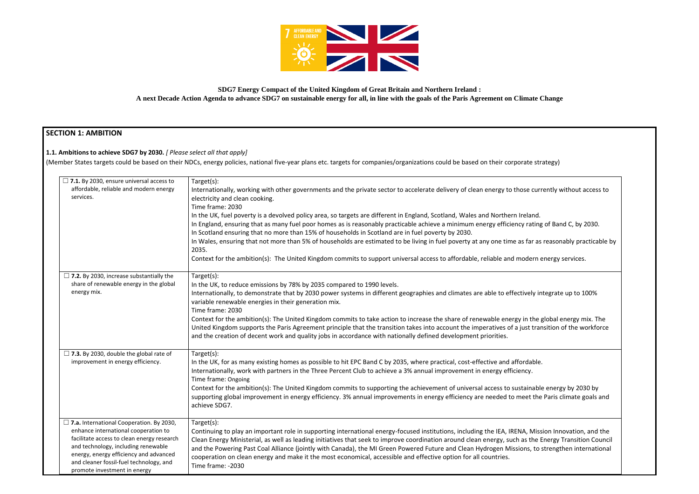

# **SDG7 Energy Compact of the United Kingdom of Great Britain and Northern Ireland : A next Decade Action Agenda to advance SDG7 on sustainable energy for all, in line with the goals of the Paris Agreement on Climate Change**

# **SECTION 1: AMBITION**

# **1.1. Ambitions to achieve SDG7 by 2030.** *[ Please select all that apply]*

(Member States targets could be based on their NDCs, energy policies, national five-year plans etc. targets for companies/organizations could be based on their corporate strategy)

| $\Box$ 7.1. By 2030, ensure universal access to<br>affordable, reliable and modern energy<br>services.                                                                                                                                                                                            | Target(s):<br>Internationally, working with other governments and the private sector to accelerate delivery of clean energy to those curr<br>electricity and clean cooking.<br>Time frame: 2030<br>In the UK, fuel poverty is a devolved policy area, so targets are different in England, Scotland, Wales and Northern Ireland.<br>In England, ensuring that as many fuel poor homes as is reasonably practicable achieve a minimum energy efficiency rating<br>In Scotland ensuring that no more than 15% of households in Scotland are in fuel poverty by 2030.<br>In Wales, ensuring that not more than 5% of households are estimated to be living in fuel poverty at any one time as far as<br>2035.<br>Context for the ambition(s): The United Kingdom commits to support universal access to affordable, reliable and modern e |
|---------------------------------------------------------------------------------------------------------------------------------------------------------------------------------------------------------------------------------------------------------------------------------------------------|----------------------------------------------------------------------------------------------------------------------------------------------------------------------------------------------------------------------------------------------------------------------------------------------------------------------------------------------------------------------------------------------------------------------------------------------------------------------------------------------------------------------------------------------------------------------------------------------------------------------------------------------------------------------------------------------------------------------------------------------------------------------------------------------------------------------------------------|
| $\Box$ 7.2. By 2030, increase substantially the<br>share of renewable energy in the global<br>energy mix.                                                                                                                                                                                         | Target(s):<br>In the UK, to reduce emissions by 78% by 2035 compared to 1990 levels.<br>Internationally, to demonstrate that by 2030 power systems in different geographies and climates are able to effectively in<br>variable renewable energies in their generation mix.<br>Time frame: 2030<br>Context for the ambition(s): The United Kingdom commits to take action to increase the share of renewable energy in the g<br>United Kingdom supports the Paris Agreement principle that the transition takes into account the imperatives of a just tran<br>and the creation of decent work and quality jobs in accordance with nationally defined development priorities.                                                                                                                                                          |
| $\Box$ 7.3. By 2030, double the global rate of<br>improvement in energy efficiency.                                                                                                                                                                                                               | Target(s):<br>In the UK, for as many existing homes as possible to hit EPC Band C by 2035, where practical, cost-effective and affordable.<br>Internationally, work with partners in the Three Percent Club to achieve a 3% annual improvement in energy efficiency.<br>Time frame: Ongoing<br>Context for the ambition(s): The United Kingdom commits to supporting the achievement of universal access to sustainable<br>supporting global improvement in energy efficiency. 3% annual improvements in energy efficiency are needed to meet the<br>achieve SDG7.                                                                                                                                                                                                                                                                     |
| $\Box$ 7.a. International Cooperation. By 2030,<br>enhance international cooperation to<br>facilitate access to clean energy research<br>and technology, including renewable<br>energy, energy efficiency and advanced<br>and cleaner fossil-fuel technology, and<br>promote investment in energy | Target(s):<br>Continuing to play an important role in supporting international energy-focused institutions, including the IEA, IRENA, Miss<br>Clean Energy Ministerial, as well as leading initiatives that seek to improve coordination around clean energy, such as the E<br>and the Powering Past Coal Alliance (jointly with Canada), the MI Green Powered Future and Clean Hydrogen Missions, to :<br>cooperation on clean energy and make it the most economical, accessible and effective option for all countries.<br>Time frame: -2030                                                                                                                                                                                                                                                                                        |

currently without access to

rating of Band C, by 2030.

iar as reasonably practicable by

dern energy services.

ely integrate up to 100%

the global energy mix. The t transition of the workforce

inable energy by 2030 by et the Paris climate goals and

Mission Innovation, and the the Energy Transition Council s, to strengthen international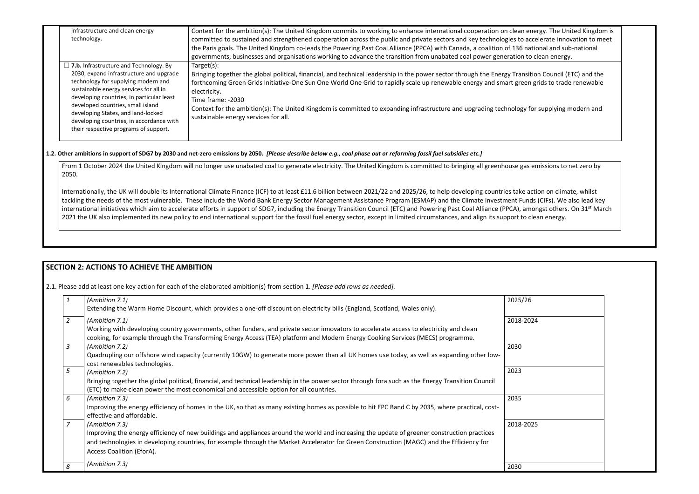| infrastructure and clean energy<br>technology.                                                                                                                                                                                                                                                                                                                                         | Context for the ambition(s): The United Kingdom commits to working to enhance international cooperation on clean energy. The United Kingdom is<br>committed to sustained and strengthened cooperation across the public and private sectors and key technologies to accelerate innovation to meet<br>the Paris goals. The United Kingdom co-leads the Powering Past Coal Alliance (PPCA) with Canada, a coalition of 136 national and sub-national<br>governments, businesses and organisations working to advance the transition from unabated coal power generation to clean energy. |
|----------------------------------------------------------------------------------------------------------------------------------------------------------------------------------------------------------------------------------------------------------------------------------------------------------------------------------------------------------------------------------------|----------------------------------------------------------------------------------------------------------------------------------------------------------------------------------------------------------------------------------------------------------------------------------------------------------------------------------------------------------------------------------------------------------------------------------------------------------------------------------------------------------------------------------------------------------------------------------------|
| $\Box$ 7.b. Infrastructure and Technology. By<br>2030, expand infrastructure and upgrade<br>technology for supplying modern and<br>sustainable energy services for all in<br>developing countries, in particular least<br>developed countries, small island<br>developing States, and land-locked<br>developing countries, in accordance with<br>their respective programs of support. | Target(s):<br>Bringing together the global political, financial, and technical leadership in the power sector through the Energy Transition Council (ETC) and the<br>forthcoming Green Grids Initiative-One Sun One World One Grid to rapidly scale up renewable energy and smart green grids to trade renewable<br>electricity.<br>Time frame: -2030<br>Context for the ambition(s): The United Kingdom is committed to expanding infrastructure and upgrading technology for supplying modern and<br>sustainable energy services for all.                                            |

From 1 October 2024 the United Kingdom will no longer use unabated coal to generate electricity. The United Kingdom is committed to bringing all greenhouse ga 2050.

Internationally, the UK will double its International Climate Finance (ICF) to at least £11.6 billion between 2021/22 and 2025/26, to help developing countries take tackling the needs of the most vulnerable. These include the World Bank Energy Sector Management Assistance Program (ESMAP) and the Climate Investment Fur international initiatives which aim to accelerate efforts in support of SDG7, including the Energy Transition Council (ETC) and Powering Past Coal Alliance (PPCA), an 2021 the UK also implemented its new policy to end international support for the fossil fuel energy sector, except in limited circumstances, and align its support to

| 1              | (Ambition 7.1)<br>Extending the Warm Home Discount, which provides a one-off discount on electricity bills (England, Scotland, Wales only).                                                                                                                                                                                              | 2025/26   |
|----------------|------------------------------------------------------------------------------------------------------------------------------------------------------------------------------------------------------------------------------------------------------------------------------------------------------------------------------------------|-----------|
| $\overline{2}$ | (Ambition 7.1)<br>Working with developing country governments, other funders, and private sector innovators to accelerate access to electricity and clean<br>cooking, for example through the Transforming Energy Access (TEA) platform and Modern Energy Cooking Services (MECS) programme.                                             | 2018-2024 |
| 3              | (Ambition 7.2)<br>Quadrupling our offshore wind capacity (currently 10GW) to generate more power than all UK homes use today, as well as expanding other low-<br>cost renewables technologies.                                                                                                                                           | 2030      |
| 5              | (Ambition 7.2)<br>Bringing together the global political, financial, and technical leadership in the power sector through fora such as the Energy Transition Council<br>(ETC) to make clean power the most economical and accessible option for all countries.                                                                           | 2023      |
| 6              | (Ambition 7.3)<br>Improving the energy efficiency of homes in the UK, so that as many existing homes as possible to hit EPC Band C by 2035, where practical, cost-<br>effective and affordable.                                                                                                                                          | 2035      |
| $\overline{z}$ | (Ambition 7.3)<br>Improving the energy efficiency of new buildings and appliances around the world and increasing the update of greener construction practices<br>and technologies in developing countries, for example through the Market Accelerator for Green Construction (MAGC) and the Efficiency for<br>Access Coalition (EforA). | 2018-2025 |
| 8              | (Ambition 7.3)                                                                                                                                                                                                                                                                                                                           | 2030      |

#### **1.2. Other ambitions in support of SDG7 by 2030 and net-zero emissions by 2050.** *[Please describe below e.g., coal phase out or reforming fossil fuel subsidies etc.]*

| energy. The United Kingdom is<br>accelerate innovation to meet<br>ational and sub-national<br>to clean energy.         |  |
|------------------------------------------------------------------------------------------------------------------------|--|
| sition Council (ETC) and the<br>n grids to trade renewable                                                             |  |
| for supplying modern and                                                                                               |  |
|                                                                                                                        |  |
| s emissions to net zero by                                                                                             |  |
| action on climate, whilst<br>nds (CIFs). We also lead key<br>mongst others. On 31 <sup>st</sup> March<br>clean energy. |  |
|                                                                                                                        |  |

# **SECTION 2: ACTIONS TO ACHIEVE THE AMBITION**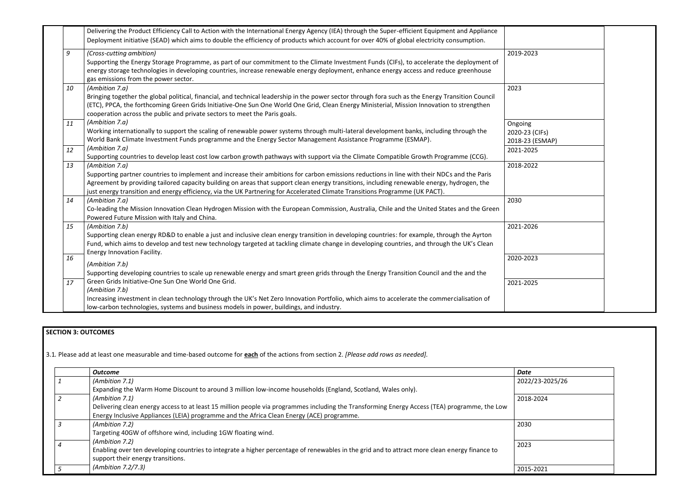|    | Delivering the Product Efficiency Call to Action with the International Energy Agency (IEA) through the Super-efficient Equipment and Appliance<br>Deployment initiative (SEAD) which aims to double the efficiency of products which account for over 40% of global electricity consumption.                                                                                                                                                 |                                              |
|----|-----------------------------------------------------------------------------------------------------------------------------------------------------------------------------------------------------------------------------------------------------------------------------------------------------------------------------------------------------------------------------------------------------------------------------------------------|----------------------------------------------|
| 9  | (Cross-cutting ambition)<br>Supporting the Energy Storage Programme, as part of our commitment to the Climate Investment Funds (CIFs), to accelerate the deployment of<br>energy storage technologies in developing countries, increase renewable energy deployment, enhance energy access and reduce greenhouse<br>gas emissions from the power sector.                                                                                      | 2019-2023                                    |
| 10 | (Ambition 7.a)<br>Bringing together the global political, financial, and technical leadership in the power sector through fora such as the Energy Transition Council<br>(ETC), PPCA, the forthcoming Green Grids Initiative-One Sun One World One Grid, Clean Energy Ministerial, Mission Innovation to strengthen<br>cooperation across the public and private sectors to meet the Paris goals.                                              | 2023                                         |
| 11 | (Ambition 7.a)<br>Working internationally to support the scaling of renewable power systems through multi-lateral development banks, including through the<br>World Bank Climate Investment Funds programme and the Energy Sector Management Assistance Programme (ESMAP).                                                                                                                                                                    | Ongoing<br>2020-23 (CIFs)<br>2018-23 (ESMAP) |
| 12 | (Ambition 7.a)<br>Supporting countries to develop least cost low carbon growth pathways with support via the Climate Compatible Growth Programme (CCG).                                                                                                                                                                                                                                                                                       | 2021-2025                                    |
| 13 | (Ambition 7.a)<br>Supporting partner countries to implement and increase their ambitions for carbon emissions reductions in line with their NDCs and the Paris<br>Agreement by providing tailored capacity building on areas that support clean energy transitions, including renewable energy, hydrogen, the<br>just energy transition and energy efficiency, via the UK Partnering for Accelerated Climate Transitions Programme (UK PACT). | 2018-2022                                    |
| 14 | (Ambition 7.a)<br>Co-leading the Mission Innovation Clean Hydrogen Mission with the European Commission, Australia, Chile and the United States and the Green<br>Powered Future Mission with Italy and China.                                                                                                                                                                                                                                 | 2030                                         |
| 15 | (Ambition 7.b)<br>Supporting clean energy RD&D to enable a just and inclusive clean energy transition in developing countries: for example, through the Ayrton<br>Fund, which aims to develop and test new technology targeted at tackling climate change in developing countries, and through the UK's Clean<br>Energy Innovation Facility.                                                                                                  | 2021-2026                                    |
| 16 | (Ambition 7.b)<br>Supporting developing countries to scale up renewable energy and smart green grids through the Energy Transition Council and the and the                                                                                                                                                                                                                                                                                    | 2020-2023                                    |
| 17 | Green Grids Initiative-One Sun One World One Grid.<br>(Ambition 7.b)<br>Increasing investment in clean technology through the UK's Net Zero Innovation Portfolio, which aims to accelerate the commercialisation of<br>low-carbon technologies, systems and business models in power, buildings, and industry.                                                                                                                                | 2021-2025                                    |

## **SECTION 3: OUTCOMES**

3.1*.* Please add at least one measurable and time-based outcome for **each** of the actions from section 2. *[Please add rows as needed].*

| <b>Outcome</b>                                                                                                                                | Date            |
|-----------------------------------------------------------------------------------------------------------------------------------------------|-----------------|
| (Ambition 7.1)                                                                                                                                | 2022/23-2025/26 |
| Expanding the Warm Home Discount to around 3 million low-income households (England, Scotland, Wales only).                                   |                 |
| (Ambition 7.1)                                                                                                                                | 2018-2024       |
| Delivering clean energy access to at least 15 million people via programmes including the Transforming Energy Access (TEA) programme, the Low |                 |
| Energy Inclusive Appliances (LEIA) programme and the Africa Clean Energy (ACE) programme.                                                     |                 |
| (Ambition 7.2)                                                                                                                                | 2030            |
| Targeting 40GW of offshore wind, including 1GW floating wind.                                                                                 |                 |
| (Ambition 7.2)                                                                                                                                | 2023            |
| Enabling over ten developing countries to integrate a higher percentage of renewables in the grid and to attract more clean energy finance to |                 |
| support their energy transitions.                                                                                                             |                 |
| (Ambition 7.2/7.3)                                                                                                                            | 2015-2021       |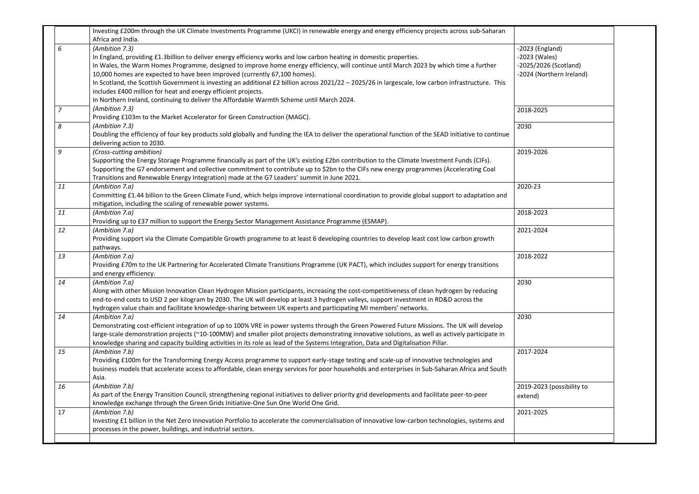|    | Investing £200m through the UK Climate Investments Programme (UKCI) in renewable energy and energy efficiency projects across sub-Saharan             |                           |  |
|----|-------------------------------------------------------------------------------------------------------------------------------------------------------|---------------------------|--|
|    | Africa and India.                                                                                                                                     |                           |  |
| 6  | (Ambition 7.3)                                                                                                                                        | $-2023$ (England)         |  |
|    | In England, providing £1.3billion to deliver energy efficiency works and low carbon heating in domestic properties.                                   | -2023 (Wales)             |  |
|    | In Wales, the Warm Homes Programme, designed to improve home energy efficiency, will continue until March 2023 by which time a further                | -2025/2026 (Scotland)     |  |
|    | 10,000 homes are expected to have been improved (currently 67,100 homes).                                                                             | -2024 (Northern Ireland)  |  |
|    | In Scotland, the Scottish Government is investing an additional £2 billion across 2021/22 - 2025/26 in largescale, low carbon infrastructure. This    |                           |  |
|    | includes £400 million for heat and energy efficient projects.                                                                                         |                           |  |
|    | In Northern Ireland, continuing to deliver the Affordable Warmth Scheme until March 2024.                                                             |                           |  |
| 7  | (Ambition 7.3)                                                                                                                                        | 2018-2025                 |  |
|    | Providing £103m to the Market Accelerator for Green Construction (MAGC).                                                                              |                           |  |
| 8  | (Ambition 7.3)                                                                                                                                        | 2030                      |  |
|    | Doubling the efficiency of four key products sold globally and funding the IEA to deliver the operational function of the SEAD initiative to continue |                           |  |
|    | delivering action to 2030.                                                                                                                            |                           |  |
| 9  | (Cross-cutting ambition)                                                                                                                              | 2019-2026                 |  |
|    | Supporting the Energy Storage Programme financially as part of the UK's existing £2bn contribution to the Climate Investment Funds (CIFs).            |                           |  |
|    | Supporting the G7 endorsement and collective commitment to contribute up to \$2bn to the CIFs new energy programmes (Accelerating Coal                |                           |  |
|    | Transitions and Renewable Energy Integration) made at the G7 Leaders' summit in June 2021.                                                            |                           |  |
| 11 | (Ambition 7.a)                                                                                                                                        | 2020-23                   |  |
|    | Committing £1.44 billion to the Green Climate Fund, which helps improve international coordination to provide global support to adaptation and        |                           |  |
|    | mitigation, including the scaling of renewable power systems.                                                                                         |                           |  |
| 11 | (Ambition 7.a)                                                                                                                                        | 2018-2023                 |  |
|    | Providing up to £37 million to support the Energy Sector Management Assistance Programme (ESMAP).                                                     |                           |  |
| 12 |                                                                                                                                                       | 2021-2024                 |  |
|    | (Ambition 7.a)                                                                                                                                        |                           |  |
|    | Providing support via the Climate Compatible Growth programme to at least 6 developing countries to develop least cost low carbon growth              |                           |  |
|    | pathways.                                                                                                                                             | 2018-2022                 |  |
| 13 | (Ambition 7.a)                                                                                                                                        |                           |  |
|    | Providing £70m to the UK Partnering for Accelerated Climate Transitions Programme (UK PACT), which includes support for energy transitions            |                           |  |
|    | and energy efficiency.                                                                                                                                |                           |  |
| 14 | (Ambition 7.a)                                                                                                                                        | 2030                      |  |
|    | Along with other Mission Innovation Clean Hydrogen Mission participants, increasing the cost-competitiveness of clean hydrogen by reducing            |                           |  |
|    | end-to-end costs to USD 2 per kilogram by 2030. The UK will develop at least 3 hydrogen valleys, support investment in RD&D across the                |                           |  |
|    | hydrogen value chain and facilitate knowledge-sharing between UK experts and participating MI members' networks.                                      |                           |  |
| 14 | (Ambition 7.a)                                                                                                                                        | 2030                      |  |
|    | Demonstrating cost-efficient integration of up to 100% VRE in power systems through the Green Powered Future Missions. The UK will develop            |                           |  |
|    | large-scale demonstration projects (~10-100MW) and smaller pilot projects demonstrating innovative solutions, as well as actively participate in      |                           |  |
|    | knowledge sharing and capacity building activities in its role as lead of the Systems Integration, Data and Digitalisation Pillar.                    |                           |  |
| 15 | (Ambition 7.b)                                                                                                                                        | 2017-2024                 |  |
|    | Providing £100m for the Transforming Energy Access programme to support early-stage testing and scale-up of innovative technologies and               |                           |  |
|    | business models that accelerate access to affordable, clean energy services for poor households and enterprises in Sub-Saharan Africa and South       |                           |  |
|    | Asia.                                                                                                                                                 |                           |  |
| 16 | (Ambition 7.b)                                                                                                                                        | 2019-2023 (possibility to |  |
|    | As part of the Energy Transition Council, strengthening regional initiatives to deliver priority grid developments and facilitate peer-to-peer        | extend)                   |  |
|    | knowledge exchange through the Green Grids Initiative-One Sun One World One Grid.                                                                     |                           |  |
| 17 | (Ambition 7.b)                                                                                                                                        | 2021-2025                 |  |
|    | Investing £1 billion in the Net Zero Innovation Portfolio to accelerate the commercialisation of innovative low-carbon technologies, systems and      |                           |  |
|    | processes in the power, buildings, and industrial sectors.                                                                                            |                           |  |
|    |                                                                                                                                                       |                           |  |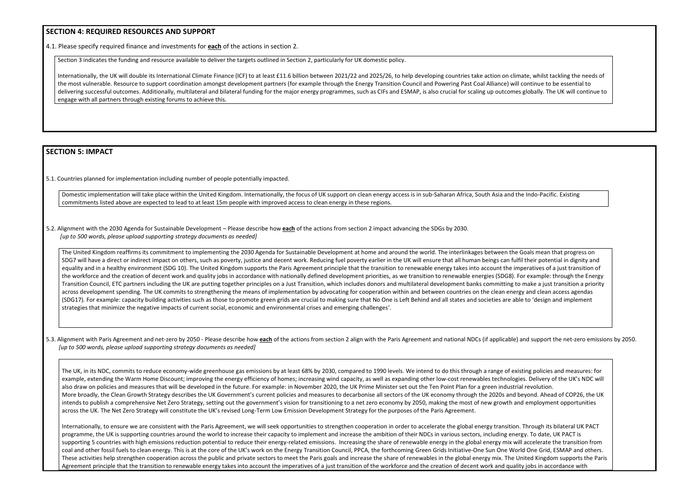## **SECTION 4: REQUIRED RESOURCES AND SUPPORT**

4.1. Please specify required finance and investments for **each** of the actions in section 2.

Section 3 indicates the funding and resource available to deliver the targets outlined in Section 2, particularly for UK domestic policy.

Internationally, the UK will double its International Climate Finance (ICF) to at least £11.6 billion between 2021/22 and 2025/26, to help developing countries take action on climate, whilst tackling the needs of the most vulnerable. Resource to support coordination amongst development partners (for example through the Energy Transition Council and Powering Past Coal Alliance) will continue to be essential to delivering successful outcomes. Additionally, multilateral and bilateral funding for the major energy programmes, such as CIFs and ESMAP, is also crucial for scaling up outcomes globally. The UK will continue to engage with all partners through existing forums to achieve this.

# **SECTION 5: IMPACT**

5.1. Countries planned for implementation including number of people potentially impacted.

Domestic implementation will take place within the United Kingdom. Internationally, the focus of UK support on clean energy access is in sub-Saharan Africa, South Asia and the Indo-Pacific. Existing commitments listed above are expected to lead to at least 15m people with improved access to clean energy in these regions.

5.2. Alignment with the 2030 Agenda for Sustainable Development – Please describe how **each** of the actions from section 2 impact advancing the SDGs by 2030. *[up to 500 words, please upload supporting strategy documents as needed]* 

5.3. Alignment with Paris Agreement and net-zero by 2050 - Please describe how each of the actions from section 2 align with the Paris Agreement and national NDCs (if applicable) and support the net-zero emissions by 2050. *[up to 500 words, please upload supporting strategy documents as needed]* 

The UK, in its NDC, commits to reduce economy-wide greenhouse gas emissions by at least 68% by 2030, compared to 1990 levels. We intend to do this through a range of existing example, extending the Warm Home Discount; improving the energy efficiency of homes; increasing wind capacity, as well as expanding other low-cost renewables technologies. also draw on policies and measures that will be developed in the future. For example: in November 2020, the UK Prime Minister set out the Ten Point Plan for a green industrial re More broadly, the Clean Growth Strategy describes the UK Government's current policies and measures to decarbonise all sectors of the UK economy through the 2020s and beyond. intends to publish a comprehensive Net Zero Strategy, setting out the government's vision for transitioning to a net zero economy by 2050, making the most of new growth and e across the UK. The Net Zero Strategy will constitute the UK's revised Long-Term Low Emission Development Strategy for the purposes of the Paris Agreement.

Internationally, to ensure we are consistent with the Paris Agreement, we will seek opportunities to strengthen cooperation in order to accelerate the global energy transition. Th programme, the UK is supporting countries around the world to increase their capacity to implement and increase the ambition of their NDCs in various sectors, including energy. supporting 5 countries with high emissions reduction potential to reduce their energy-related emissions. Increasing the share of renewable energy in the global energy mix will ac coal and other fossil fuels to clean energy. This is at the core of the UK's work on the Energy Transition Council, PPCA, the forthcoming Green Grids Initiative-One Sun One World C These activities help strengthen cooperation across the public and private sectors to meet the Paris goals and increase the share of renewables in the global energy mix. The Unite Agreement principle that the transition to renewable energy takes into account the imperatives of a just transition of the workforce and the creation of decent work and quality journal contains in a count the imperatives o

| g policies and measures: for<br>Delivery of the UK's NDC will<br>evolution.<br>ond. Ahead of COP26, the UK<br>mployment opportunities |  |
|---------------------------------------------------------------------------------------------------------------------------------------|--|
| rough its bilateral UK PACT<br>To date, UK PACT is                                                                                    |  |
| ccelerate the transition from<br>One Grid, ESMAP and others.<br>ed Kingdom supports the Paris                                         |  |
| obs in accordance with                                                                                                                |  |

The United Kingdom reaffirms its commitment to implementing the 2030 Agenda for Sustainable Development at home and around the world. The interlinkages between the Goals mean that progress on SDG7 will have a direct or indirect impact on others, such as poverty, justice and decent work. Reducing fuel poverty earlier in the UK will ensure that all human beings can fulfil their potential in dignity and equality and in a healthy environment (SDG 10). The United Kingdom supports the Paris Agreement principle that the transition to renewable energy takes into account the imperatives of a just transition of the workforce and the creation of decent work and quality jobs in accordance with nationally defined development priorities, as we transition to renewable energies (SDG8). For example: through the Energy Transition Council, ETC partners including the UK are putting together principles on a Just Transition, which includes donors and multilateral development banks committing to make a just transition a priority across development spending. The UK commits to strengthening the means of implementation by advocating for cooperation within and between countries on the clean energy and clean access agendas (SDG17). For example: capacity building activities such as those to promote green grids are crucial to making sure that No One is Left Behind and all states and societies are able to 'design and implement strategies that minimize the negative impacts of current social, economic and environmental crises and emerging challenges'.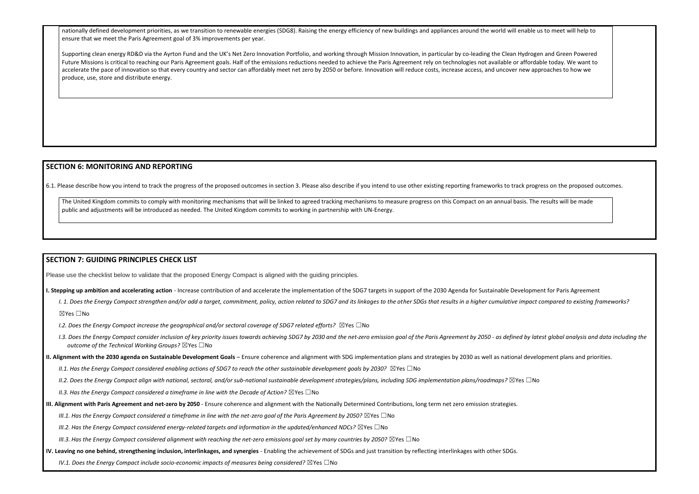nationally defined development priorities, as we transition to renewable energies (SDG8). Raising the energy efficiency of new buildings and appliances around the world will enable us to meet will help to ensure that we meet the Paris Agreement goal of 3% improvements per year.

Supporting clean energy RD&D via the Ayrton Fund and the UK's Net Zero Innovation Portfolio, and working through Mission Innovation, in particular by co-leading the Clean Hydrogen and Green Powered Future Missions is critical to reaching our Paris Agreement goals. Half of the emissions reductions needed to achieve the Paris Agreement rely on technologies not available or affordable today. We want to accelerate the pace of innovation so that every country and sector can affordably meet net zero by 2050 or before. Innovation will reduce costs, increase access, and uncover new approaches to how we produce, use, store and distribute energy.

The United Kingdom commits to comply with monitoring mechanisms that will be linked to agreed tracking mechanisms to measure progress on this Compact on an annual basis. The results will be made public and adjustments will be introduced as needed. The United Kingdom commits to working in partnership with UN-Energy.

#### **SECTION 6: MONITORING AND REPORTING**

6.1. Please describe how you intend to track the progress of the proposed outcomes in section 3. Please also describe if you intend to use other existing reporting frameworks to track progress on the proposed outcomes.

## **SECTION 7: GUIDING PRINCIPLES CHECK LIST**

Please use the checklist below to validate that the proposed Energy Compact is aligned with the guiding principles.

- **I. Stepping up ambition and accelerating action** Increase contribution of and accelerate the implementation of the SDG7 targets in support of the 2030 Agenda for Sustainable Development for Paris Agreement
	- I. 1. Does the Energy Compact strengthen and/or add a target, commitment, policy, action related to SDG7 and its linkages to the other SDGs that results in a higher cumulative impact compared to existing frameworks? ☒Yes ☐No
	- *I.2. Does the Energy Compact increase the geographical and/or sectoral coverage of SDG7 related efforts?* ⊠Yes □No
	- 1.3. Does the Energy Compact consider inclusion of key priority issues towards achieving SDG7 by 2030 and the net-zero emission goal of the Paris Agreement by 2050 as defined by latest global analysis and data including *outcome of the Technical Working Groups?* ☒Yes ☐No
- **II. Alignment with the 2030 agenda on Sustainable Development Goals** Ensure coherence and alignment with SDG implementation plans and strategies by 2030 as well as national development plans and priorities.
	- *II.1. Has the Energy Compact considered enabling actions of SDG7 to reach the other sustainable development goals by 2030?* ⊠Yes □No
	- *II.2. Does the Energy Compact align with national, sectoral, and/or sub-national sustainable development strategies/plans, including SDG implementation plans/roadmaps?* ☒Yes ☐No
	- *II.3. Has the Energy Compact considered a timeframe in line with the Decade of Action?* ⊠Yes □No
- **III. Alignment with Paris Agreement and net-zero by 2050** Ensure coherence and alignment with the Nationally Determined Contributions, long term net zero emission strategies.
	- *III.1. Has the Energy Compact considered a timeframe in line with the net-zero goal of the Paris Agreement by 2050?* ⊠Yes □No
	- *III.2. Has the Energy Compact considered energy-related targets and information in the updated/enhanced NDCs?* ⊠Yes □No
	- *III.3. Has the Energy Compact considered alignment with reaching the net-zero emissions goal set by many countries by 2050?* ⊠Yes □No
- **IV. Leaving no one behind, strengthening inclusion, interlinkages, and synergies** Enabling the achievement of SDGs and just transition by reflecting interlinkages with other SDGs.
	- *IV.1. Does the Energy Compact include socio-economic impacts of measures being considered?* ⊠Yes □No